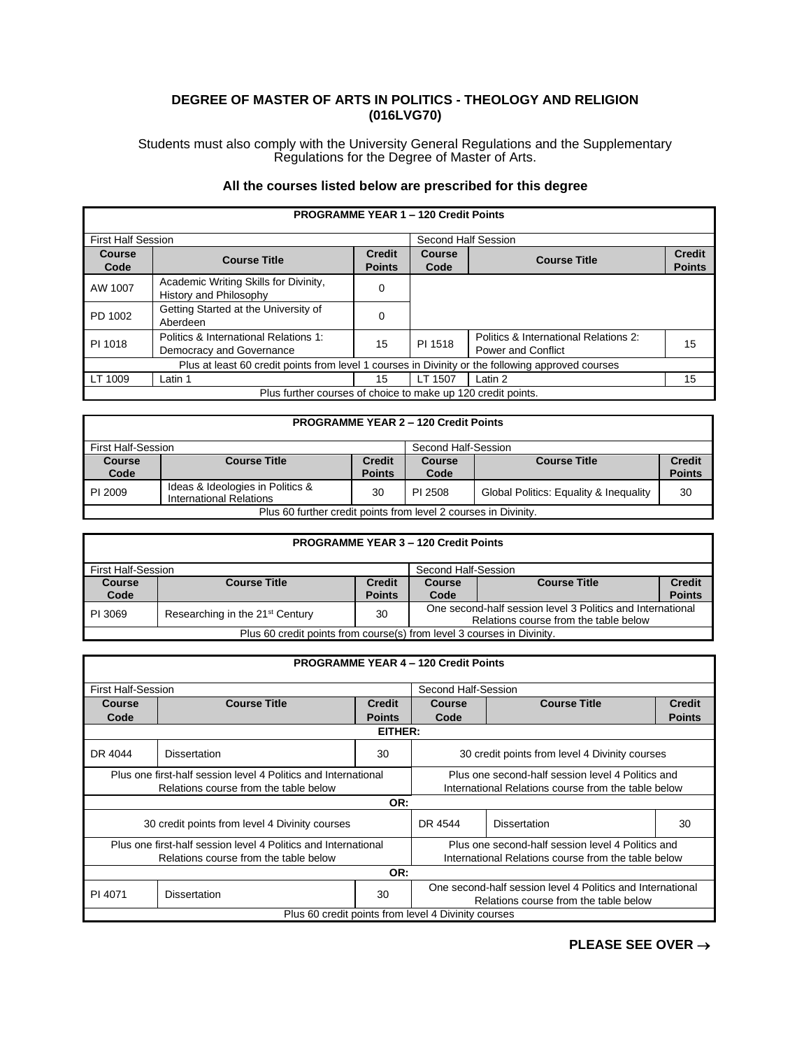## **DEGREE OF MASTER OF ARTS IN POLITICS - THEOLOGY AND RELIGION (016LVG70)**

Students must also comply with the University General Regulations and the Supplementary Regulations for the Degree of Master of Arts.

## **All the courses listed below are prescribed for this degree**

| <b>PROGRAMME YEAR 1 - 120 Credit Points</b> |                                                                                                   |                                |                       |                                                                    |                                |  |
|---------------------------------------------|---------------------------------------------------------------------------------------------------|--------------------------------|-----------------------|--------------------------------------------------------------------|--------------------------------|--|
| <b>First Half Session</b>                   |                                                                                                   | Second Half Session            |                       |                                                                    |                                |  |
| <b>Course</b><br>Code                       | <b>Course Title</b>                                                                               | <b>Credit</b><br><b>Points</b> | <b>Course</b><br>Code | <b>Course Title</b>                                                | <b>Credit</b><br><b>Points</b> |  |
| AW 1007                                     | Academic Writing Skills for Divinity,<br>History and Philosophy                                   | 0                              |                       |                                                                    |                                |  |
| PD 1002                                     | Getting Started at the University of<br>Aberdeen                                                  | 0                              |                       |                                                                    |                                |  |
| PI 1018                                     | Politics & International Relations 1:<br>Democracy and Governance                                 | 15                             | PI 1518               | Politics & International Relations 2:<br><b>Power and Conflict</b> | 15                             |  |
|                                             | Plus at least 60 credit points from level 1 courses in Divinity or the following approved courses |                                |                       |                                                                    |                                |  |
| LT 1009                                     | Latin 1                                                                                           | 15                             | LT 1507               | Latin 2                                                            | 15                             |  |
|                                             | Plus further courses of choice to make up 120 credit points.                                      |                                |                       |                                                                    |                                |  |

## **PROGRAMME YEAR 2 – 120 Credit Points**

| <b>First Half-Session</b>                                       |                                                             | Second Half-Session            |                       |                                        |                                |
|-----------------------------------------------------------------|-------------------------------------------------------------|--------------------------------|-----------------------|----------------------------------------|--------------------------------|
| <b>Course</b><br>Code                                           | <b>Course Title</b>                                         | <b>Credit</b><br><b>Points</b> | <b>Course</b><br>Code | <b>Course Title</b>                    | <b>Credit</b><br><b>Points</b> |
| PI 2009                                                         | Ideas & Ideologies in Politics &<br>International Relations | 30                             | PI 2508               | Global Politics: Equality & Inequality | 30                             |
| Plus 60 further credit points from level 2 courses in Divinity. |                                                             |                                |                       |                                        |                                |

| <b>PROGRAMME YEAR 3 - 120 Credit Points</b>                            |                                                  |                                |                                                                                                     |                     |                                |
|------------------------------------------------------------------------|--------------------------------------------------|--------------------------------|-----------------------------------------------------------------------------------------------------|---------------------|--------------------------------|
|                                                                        | <b>First Half-Session</b><br>Second Half-Session |                                |                                                                                                     |                     |                                |
| Course<br>Code                                                         | <b>Course Title</b>                              | <b>Credit</b><br><b>Points</b> | Course<br>Code                                                                                      | <b>Course Title</b> | <b>Credit</b><br><b>Points</b> |
| PI 3069                                                                | Researching in the 21 <sup>st</sup> Century      | 30                             | One second-half session level 3 Politics and International<br>Relations course from the table below |                     |                                |
| Plus 60 credit points from course(s) from level 3 courses in Divinity. |                                                  |                                |                                                                                                     |                     |                                |

|                                                                | <b>PROGRAMME YEAR 4 - 120 Credit Points</b> |                                                     |                                                                                                     |                     |               |  |  |
|----------------------------------------------------------------|---------------------------------------------|-----------------------------------------------------|-----------------------------------------------------------------------------------------------------|---------------------|---------------|--|--|
| <b>First Half-Session</b>                                      |                                             |                                                     |                                                                                                     | Second Half-Session |               |  |  |
| Course                                                         | <b>Course Title</b>                         | <b>Credit</b>                                       | <b>Course Title</b><br>Course                                                                       |                     | <b>Credit</b> |  |  |
| Code                                                           |                                             | <b>Points</b>                                       | Code                                                                                                |                     | <b>Points</b> |  |  |
|                                                                | EITHER:                                     |                                                     |                                                                                                     |                     |               |  |  |
| DR 4044                                                        | <b>Dissertation</b>                         | 30                                                  | 30 credit points from level 4 Divinity courses                                                      |                     |               |  |  |
| Plus one first-half session level 4 Politics and International |                                             | Plus one second-half session level 4 Politics and   |                                                                                                     |                     |               |  |  |
| Relations course from the table below                          |                                             | International Relations course from the table below |                                                                                                     |                     |               |  |  |
|                                                                |                                             | OR:                                                 |                                                                                                     |                     |               |  |  |
| 30 credit points from level 4 Divinity courses<br>DR 4544      |                                             |                                                     | <b>Dissertation</b>                                                                                 | 30                  |               |  |  |
| Plus one first-half session level 4 Politics and International |                                             |                                                     | Plus one second-half session level 4 Politics and                                                   |                     |               |  |  |
| Relations course from the table below                          |                                             | International Relations course from the table below |                                                                                                     |                     |               |  |  |
|                                                                |                                             | OR:                                                 |                                                                                                     |                     |               |  |  |
| PI 4071                                                        | <b>Dissertation</b>                         | 30                                                  | One second-half session level 4 Politics and International<br>Relations course from the table below |                     |               |  |  |
|                                                                |                                             |                                                     | Plus 60 credit points from level 4 Divinity courses                                                 |                     |               |  |  |

**PLEASE SEE OVER** →